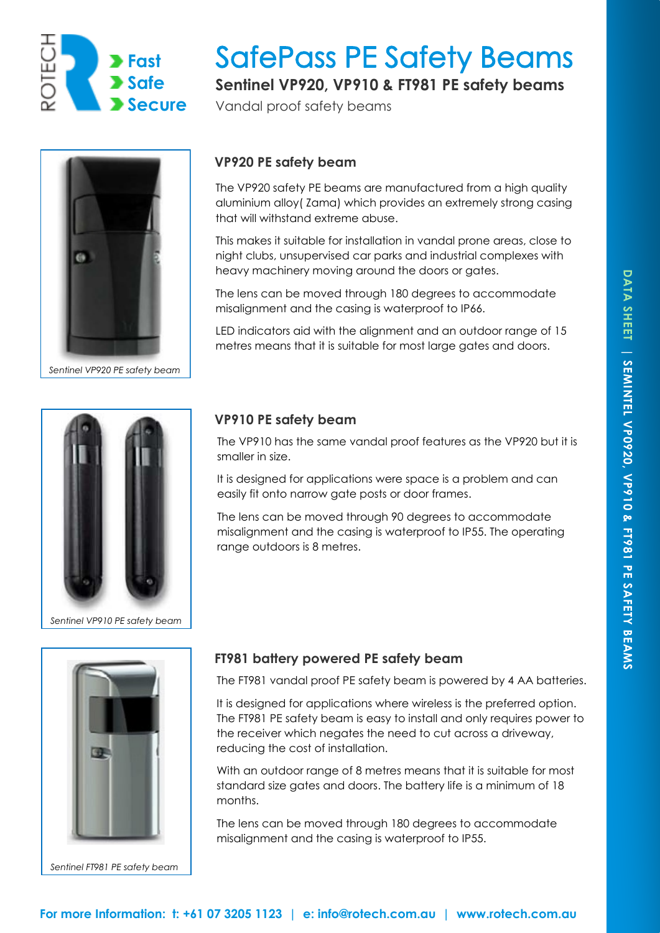

# **SafePass PE Safety Beams**

**Sentinel VP920, VP910 & FT981 PE safety beams** 

Vandal proof safety beams



*Sentinel VP920 PE safety beam* 

## **VP920 PE safety beam**

The VP920 safety PE beams are manufactured from a high quality aluminium alloy( Zama) which provides an extremely strong casing that will withstand extreme abuse.

This makes it suitable for installation in vandal prone areas, close to night clubs, unsupervised car parks and industrial complexes with heavy machinery moving around the doors or gates.

The lens can be moved through 180 degrees to accommodate misalignment and the casing is waterproof to IP66.

LED indicators aid with the alignment and an outdoor range of 15 metres means that it is suitable for most large gates and doors.



*Sentinel VP910 PE safety beam* 



*Sentinel FT981 PE safety beam* 

## **VP910 PE safety beam**

The VP910 has the same vandal proof features as the VP920 but it is smaller in size.

It is designed for applications were space is a problem and can easily fit onto narrow gate posts or door frames.

The lens can be moved through 90 degrees to accommodate misalignment and the casing is waterproof to IP55. The operating range outdoors is 8 metres.

## **FT981 battery powered PE safety beam**

The FT981 vandal proof PE safety beam is powered by 4 AA batteries.

It is designed for applications where wireless is the preferred option. The FT981 PE safety beam is easy to install and only requires power to the receiver which negates the need to cut across a driveway, reducing the cost of installation.

With an outdoor range of 8 metres means that it is suitable for most standard size gates and doors. The battery life is a minimum of 18 months.

The lens can be moved through 180 degrees to accommodate misalignment and the casing is waterproof to IP55.